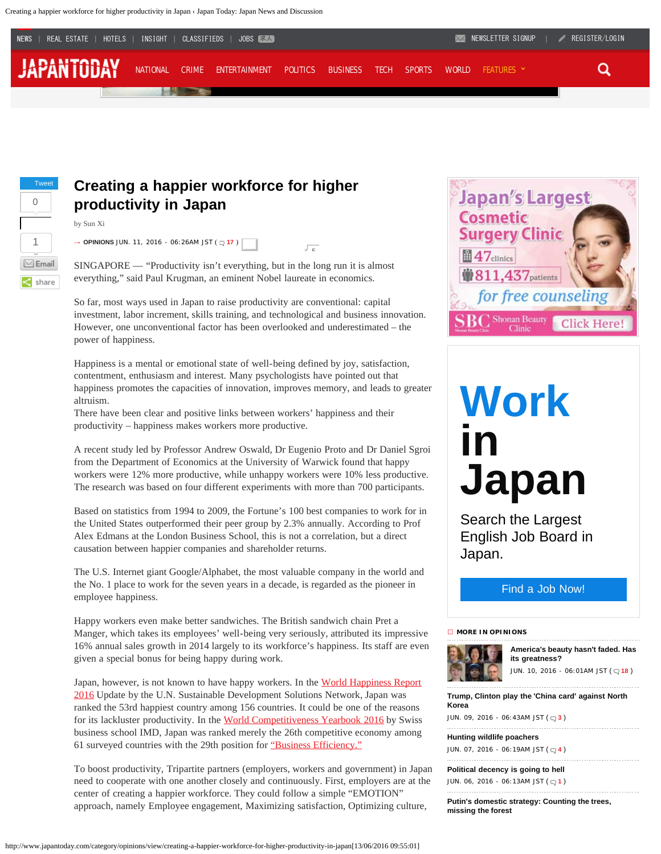Creating a happier workforce for higher productivity in Japan ‹ Japan Today: Japan News and Discussion



5



by Sun Xi

### **Creating a happier workforce for higher productivity in Japan**

SINGAPORE — "Productivity isn't everything, but in the long run it is almost everything," said Paul Krugman, an eminent Nobel laureate in economics.

So far, most ways used in Japan to raise productivity are conventional: capital investment, labor increment, skills training, and technological and business innovation. However, one unconventional factor has been overlooked and underestimated – the power of happiness.

Happiness is a mental or emotional state of well-being defined by joy, satisfaction, contentment, enthusiasm and interest. Many psychologists have pointed out that happiness promotes the capacities of innovation, improves memory, and leads to greater altruism.

There have been clear and positive links between workers' happiness and their productivity – happiness makes workers more productive.

A recent study led by Professor Andrew Oswald, Dr Eugenio Proto and Dr Daniel Sgroi from the Department of Economics at the University of Warwick found that happy workers were 12% more productive, while unhappy workers were 10% less productive. The research was based on four different experiments with more than 700 participants.

Based on statistics from 1994 to 2009, the Fortune's 100 best companies to work for in the United States outperformed their peer group by 2.3% annually. According to Prof Alex Edmans at the London Business School, this is not a correlation, but a direct causation between happier companies and shareholder returns.

The U.S. Internet giant Google/Alphabet, the most valuable company in the world and the No. 1 place to work for the seven years in a decade, is regarded as the pioneer in employee happiness.

Happy workers even make better sandwiches. The British sandwich chain Pret a Manger, which takes its employees' well-being very seriously, attributed its impressive 16% annual sales growth in 2014 largely to its workforce's happiness. Its staff are even given a special bonus for being happy during work.

Japan, however, is not known to have happy workers. In the [World Happiness Report](http://worldhappiness.report/) [2016](http://worldhappiness.report/) Update by the U.N. Sustainable Development Solutions Network, Japan was ranked the 53rd happiest country among 156 countries. It could be one of the reasons for its lackluster productivity. In the [World Competitiveness Yearbook 2016](http://www.imd.org/uupload/imd.website/wcc/scoreboard.pdf) by Swiss business school IMD, Japan was ranked merely the 26th competitive economy among 61 surveyed countries with the 29th position for ["Business Efficiency."](https://www.imd.org/uupload/imd.website/wcc/Overall_ranking_5_years.pdf)

To boost productivity, Tripartite partners (employers, workers and government) in Japan need to cooperate with one another closely and continuously. First, employers are at the center of creating a happier workforce. They could follow a simple "EMOTION" approach, namely Employee engagement, Maximizing satisfaction, Optimizing culture,



# **[Work](https://japan.careerengine.org/japantoday/index/index/lang/en?utm_source=japantoday&utm_medium=cta&utm_campaign=work_in_japan) [in](https://japan.careerengine.org/japantoday/index/index/lang/en?utm_source=japantoday&utm_medium=cta&utm_campaign=work_in_japan) [Japan](https://japan.careerengine.org/japantoday/index/index/lang/en?utm_source=japantoday&utm_medium=cta&utm_campaign=work_in_japan)**

Search the Largest English Job Board in Japan.

[Find a Job Now!](https://japan.careerengine.org/japantoday/index/index/lang/en?utm_source=japantoday&utm_medium=cta&utm_campaign=work_in_japan)

**→ [MORE IN OPINIONS](http://www.japantoday.com/category/opinions)**



**[America's beauty hasn't faded. Has](http://www.japantoday.com/category/opinions/view/americas-beauty-hasnt-faded-has-its-greatness) [its greatness?](http://www.japantoday.com/category/opinions/view/americas-beauty-hasnt-faded-has-its-greatness)** JUN. 10, 2016 - 06:01AM JST ( **[18](http://www.japantoday.com/category/opinions/view/americas-beauty-hasnt-faded-has-its-greatness#comments)** )

**[Trump, Clinton play the 'China card' against North](http://www.japantoday.com/category/opinions/view/trump-clinton-play-the-china-card-against-north-korea) [Korea](http://www.japantoday.com/category/opinions/view/trump-clinton-play-the-china-card-against-north-korea)**

JUN. 09, 2016 - 06:43AM JST ( **[3](http://www.japantoday.com/category/opinions/view/trump-clinton-play-the-china-card-against-north-korea#comments)** )

**[Hunting wildlife poachers](http://www.japantoday.com/category/opinions/view/hunting-wildlife-poachers)**

.....................................

JUN. 07, 2016 - 06:19AM JST ( **[4](http://www.japantoday.com/category/opinions/view/hunting-wildlife-poachers#comments)** )

**[Political decency is going to hell](http://www.japantoday.com/category/opinions/view/political-decency-is-going-to-hell)** JUN. 06, 20[1](http://www.japantoday.com/category/opinions/view/political-decency-is-going-to-hell#comments)6 - 06:13AM JST ( $\sqrt{1}$ )

**[Putin's domestic strategy: Counting the trees,](http://www.japantoday.com/category/opinions/view/putins-domestic-strategy-counting-the-trees-missing-the-forest) [missing the forest](http://www.japantoday.com/category/opinions/view/putins-domestic-strategy-counting-the-trees-missing-the-forest)**